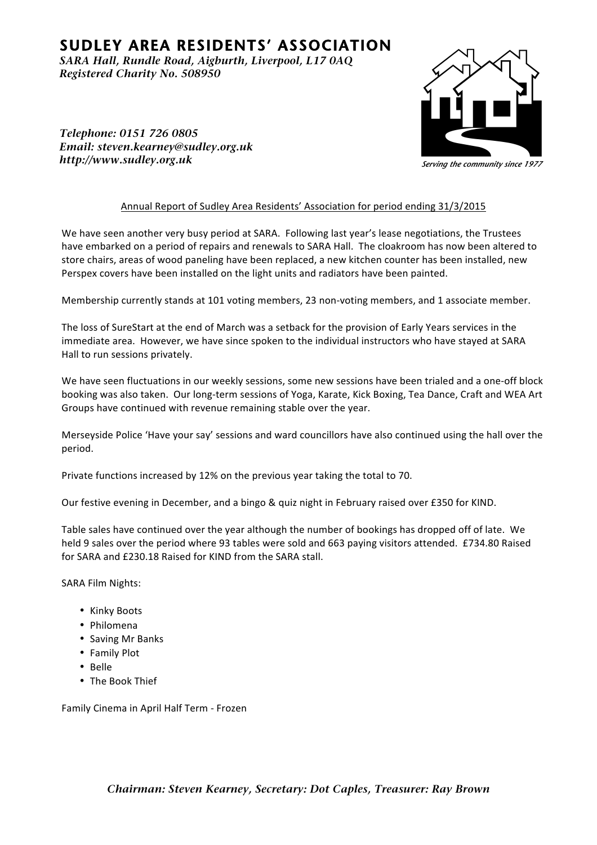## **SUDLEY AREA RESIDENTS' ASSOCIATION**

*<i>SARA Hall, Rundle Road, Aigburth, Liverpool, L17 0AQ Registered Charity No. 508950* 



*Telephone: 0151 726 0805 <i>Email: steven.kearney@sudley.org.uk Iittp*://www.sudley.org.uk

## Annual Report of Sudley Area Residents' Association for period ending 31/3/2015

We have seen another very busy period at SARA. Following last year's lease negotiations, the Trustees have embarked on a period of repairs and renewals to SARA Hall. The cloakroom has now been altered to store chairs, areas of wood paneling have been replaced, a new kitchen counter has been installed, new Perspex covers have been installed on the light units and radiators have been painted.

Membership currently stands at 101 voting members, 23 non-voting members, and 1 associate member.

The loss of SureStart at the end of March was a setback for the provision of Early Years services in the immediate area. However, we have since spoken to the individual instructors who have stayed at SARA Hall to run sessions privately.

We have seen fluctuations in our weekly sessions, some new sessions have been trialed and a one-off block booking was also taken. Our long-term sessions of Yoga, Karate, Kick Boxing, Tea Dance, Craft and WEA Art Groups have continued with revenue remaining stable over the year.

Merseyside Police 'Have your say' sessions and ward councillors have also continued using the hall over the period. 

Private functions increased by 12% on the previous year taking the total to 70.

Our festive evening in December, and a bingo & quiz night in February raised over £350 for KIND.

Table sales have continued over the year although the number of bookings has dropped off of late. We held 9 sales over the period where 93 tables were sold and 663 paying visitors attended. £734.80 Raised for SARA and £230.18 Raised for KIND from the SARA stall

SARA Film Nights:

- Kinky Boots
- Philomena
- Saving Mr Banks
- Family Plot
- Belle
- The Book Thief

Family Cinema in April Half Term - Frozen